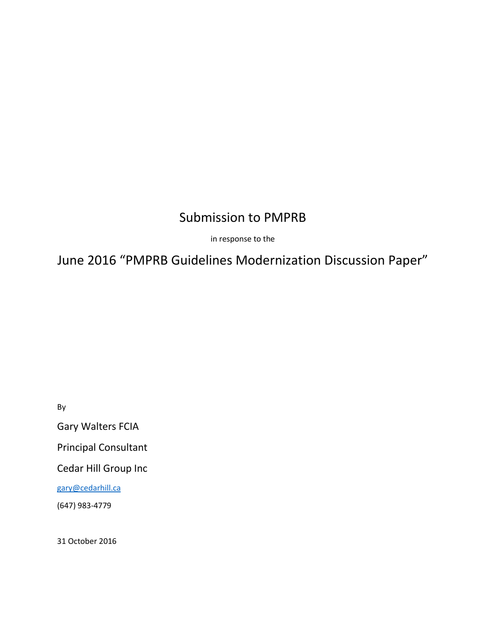# Submission to PMPRB

in response to the

June 2016 "PMPRB Guidelines Modernization Discussion Paper"

By

Gary Walters FCIA

Principal Consultant

Cedar Hill Group Inc

[gary@cedarhill.ca](mailto:gary@cedarhill.ca)

(647) 983-4779

31 October 2016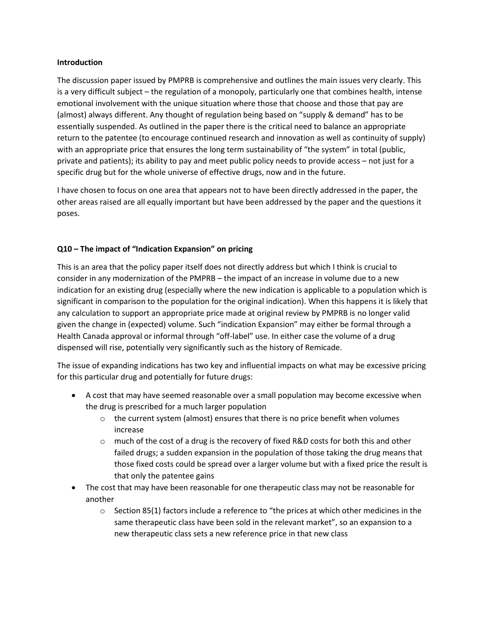## **Introduction**

The discussion paper issued by PMPRB is comprehensive and outlines the main issues very clearly. This is a very difficult subject – the regulation of a monopoly, particularly one that combines health, intense emotional involvement with the unique situation where those that choose and those that pay are (almost) always different. Any thought of regulation being based on "supply & demand" has to be essentially suspended. As outlined in the paper there is the critical need to balance an appropriate return to the patentee (to encourage continued research and innovation as well as continuity of supply) with an appropriate price that ensures the long term sustainability of "the system" in total (public, private and patients); its ability to pay and meet public policy needs to provide access – not just for a specific drug but for the whole universe of effective drugs, now and in the future.

I have chosen to focus on one area that appears not to have been directly addressed in the paper, the other areas raised are all equally important but have been addressed by the paper and the questions it poses.

# **Q10 – The impact of "Indication Expansion" on pricing**

This is an area that the policy paper itself does not directly address but which I think is crucial to consider in any modernization of the PMPRB – the impact of an increase in volume due to a new indication for an existing drug (especially where the new indication is applicable to a population which is significant in comparison to the population for the original indication). When this happens it is likely that any calculation to support an appropriate price made at original review by PMPRB is no longer valid given the change in (expected) volume. Such "indication Expansion" may either be formal through a Health Canada approval or informal through "off-label" use. In either case the volume of a drug dispensed will rise, potentially very significantly such as the history of Remicade.

The issue of expanding indications has two key and influential impacts on what may be excessive pricing for this particular drug and potentially for future drugs:

- A cost that may have seemed reasonable over a small population may become excessive when the drug is prescribed for a much larger population
	- $\circ$  the current system (almost) ensures that there is no price benefit when volumes increase
	- $\circ$  much of the cost of a drug is the recovery of fixed R&D costs for both this and other failed drugs; a sudden expansion in the population of those taking the drug means that those fixed costs could be spread over a larger volume but with a fixed price the result is that only the patentee gains
- The cost that may have been reasonable for one therapeutic class may not be reasonable for another
	- $\circ$  Section 85(1) factors include a reference to "the prices at which other medicines in the same therapeutic class have been sold in the relevant market", so an expansion to a new therapeutic class sets a new reference price in that new class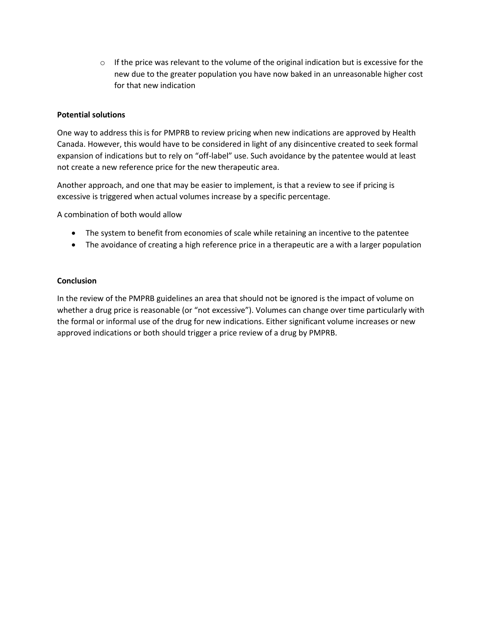$\circ$  If the price was relevant to the volume of the original indication but is excessive for the new due to the greater population you have now baked in an unreasonable higher cost for that new indication

# **Potential solutions**

One way to address this is for PMPRB to review pricing when new indications are approved by Health Canada. However, this would have to be considered in light of any disincentive created to seek formal expansion of indications but to rely on "off-label" use. Such avoidance by the patentee would at least not create a new reference price for the new therapeutic area.

Another approach, and one that may be easier to implement, is that a review to see if pricing is excessive is triggered when actual volumes increase by a specific percentage.

A combination of both would allow

- The system to benefit from economies of scale while retaining an incentive to the patentee
- The avoidance of creating a high reference price in a therapeutic are a with a larger population

### **Conclusion**

In the review of the PMPRB guidelines an area that should not be ignored is the impact of volume on whether a drug price is reasonable (or "not excessive"). Volumes can change over time particularly with the formal or informal use of the drug for new indications. Either significant volume increases or new approved indications or both should trigger a price review of a drug by PMPRB.